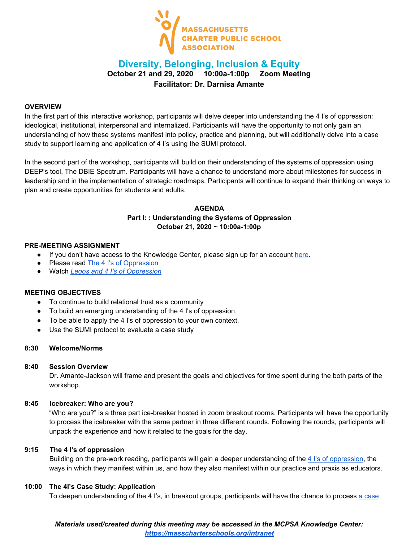

# **Diversity, Belonging, Inclusion & Equity October 21 and 29, 2020 10:00a-1:00p Zoom Meeting Facilitator: Dr. Darnisa Amante**

### **OVERVIEW**

In the first part of this interactive workshop, participants will delve deeper into understanding the 4 I's of oppression: ideological, institutional, interpersonal and internalized. Participants will have the opportunity to not only gain an understanding of how these systems manifest into policy, practice and planning, but will additionally delve into a case study to support learning and application of 4 I's using the SUMI protocol.

In the second part of the workshop, participants will build on their understanding of the systems of oppression using DEEP's tool, The DBIE Spectrum. Participants will have a chance to understand more about milestones for success in leadership and in the implementation of strategic roadmaps. Participants will continue to expand their thinking on ways to plan and create opportunities for students and adults.

# **AGENDA Part I: : Understanding the Systems of Oppression October 21, 2020 ~ 10:00a-1:00p**

### **PRE-MEETING ASSIGNMENT**

- If you don't have access to the Knowledge Center, please sign up for an account [here.](https://masscharterschools.org/intranet)
- Please read The 4 I's of [Oppression](https://drive.google.com/file/d/1xv4TQWShQ6L7__3zjNpMXB2LvVzHy3Xr/view?usp=sharing)
- Watch *Legos and 4 I's of [Oppression](https://www.youtube.com/watch?v=3WWyVRo4Uas)*

### **MEETING OBJECTIVES**

- To continue to build relational trust as a community
- To build an emerging understanding of the 4 I's of oppression.
- To be able to apply the 4 I's of oppression to your own context.
- Use the SUMI protocol to evaluate a case study

## **8:30 Welcome/Norms**

### **8:40 Session Overview**

Dr. Amante-Jackson will frame and present the goals and objectives for time spent during the both parts of the workshop.

### **8:45 Icebreaker: Who are you?**

"Who are you?" is a three part ice-breaker hosted in zoom breakout rooms. Participants will have the opportunity to process the icebreaker with the same partner in three different rounds. Following the rounds, participants will unpack the experience and how it related to the goals for the day.

### **9:15 The 4 I's of oppression**

Building on the pre-work reading, participants will gain a deeper understanding of the 4 I's of [oppression](https://masscharterschools.org/wp-content/uploads/2020/01/4Is.pdf), the ways in which they manifest within us, and how they also manifest within our practice and praxis as educators.

### **10:00 The 4I's Case Study: Application**

To deepen understanding of the 4 I's, in breakout groups, participants will have the chance to process a [case](https://docs.google.com/document/d/1R9eJ4PkMdVHMlL1YnOIJsB-9yGp26MMS-tsTVJCRoug/edit?usp=sharing)

# *Materials used/created during this meeting may be accessed in the MCPSA Knowledge Center: <https://masscharterschools.org/intranet>*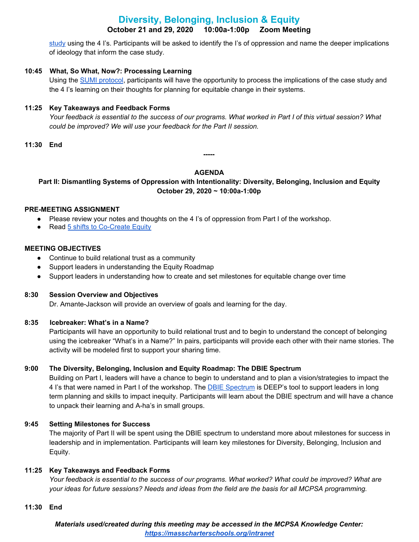# **Diversity, Belonging, Inclusion & Equity October 21 and 29, 2020 10:00a-1:00p Zoom Meeting**

[study](https://docs.google.com/document/d/1R9eJ4PkMdVHMlL1YnOIJsB-9yGp26MMS-tsTVJCRoug/edit?usp=sharing) using the 4 I's. Participants will be asked to identify the I's of oppression and name the deeper implications of ideology that inform the case study.

# **10:45 What, So What, Now?: Processing Learning**

Using the SUMI [protocol](https://docs.google.com/presentation/d/1ohagka_Yc6tGrODE1QiJFT9v55JiV0ZLQkMmeEuQ2zU/edit#slide=id.g9a34221380_0_0), participants will have the opportunity to process the implications of the case study and the 4 I's learning on their thoughts for planning for equitable change in their systems.

# **11:25 Key Takeaways and Feedback Forms**

Your feedback is essential to the success of our programs. What worked in Part I of this virtual session? What *could be improved? We will use your feedback for the Part II session.*

**11:30 End**

# **AGENDA**

**-----**

# **Part II: Dismantling Systems of Oppression with Intentionality: Diversity, Belonging, Inclusion and Equity October 29, 2020 ~ 10:00a-1:00p**

# **PRE-MEETING ASSIGNMENT**

- Please review your notes and thoughts on the 4 I's of oppression from Part I of the workshop.
- Read 5 shifts to [Co-Create](http://box5173.temp.domains/~recente1/wp-content/uploads/2019/03/5-Shifts-28with-images29.pdf) Equity

### **MEETING OBJECTIVES**

- Continue to build relational trust as a community
- Support leaders in understanding the Equity Roadmap
- Support leaders in understanding how to create and set milestones for equitable change over time

### **8:30 Session Overview and Objectives**

Dr. Amante-Jackson will provide an overview of goals and learning for the day.

# **8:35 Icebreaker: What's in a Name?**

Participants will have an opportunity to build relational trust and to begin to understand the concept of belonging using the icebreaker "What's in a Name?" In pairs, participants will provide each other with their name stories. The activity will be modeled first to support your sharing time.

# **9:00 The Diversity, Belonging, Inclusion and Equity Roadmap: The DBIE Spectrum**

Building on Part I, leaders will have a chance to begin to understand and to plan a vision/strategies to impact the 4 I's that were named in Part I of the workshop. The **DBIE [Spectrum](https://docs.google.com/presentation/d/1oV9ujmvmm1HsfPQ-fFJosensHwp6gcsDNbmC2A9l3so/edit?usp=sharing)** is DEEP's tool to support leaders in long term planning and skills to impact inequity. Participants will learn about the DBIE spectrum and will have a chance to unpack their learning and A-ha's in small groups.

# **9:45 Setting Milestones for Success**

The majority of Part II will be spent using the DBIE spectrum to understand more about milestones for success in leadership and in implementation. Participants will learn key milestones for Diversity, Belonging, Inclusion and Equity.

# **11:25 Key Takeaways and Feedback Forms**

Your feedback is essential to the success of our programs. What worked? What could be improved? What are your ideas for future sessions? Needs and ideas from the field are the basis for all MCPSA programming.

### **11:30 End**

*Materials used/created during this meeting may be accessed in the MCPSA Knowledge Center: <https://masscharterschools.org/intranet>*